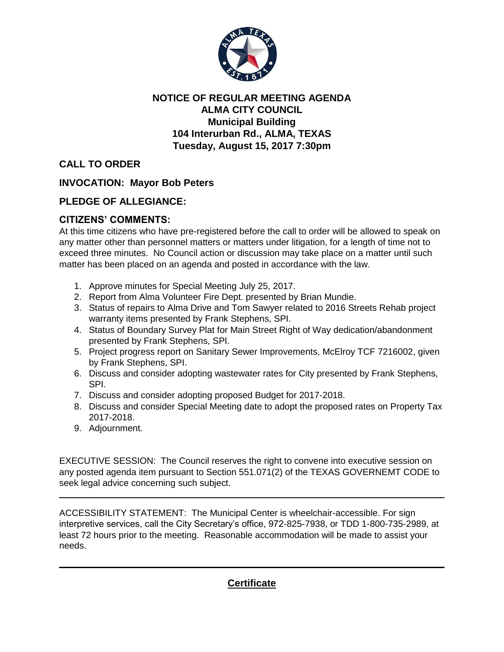

## **NOTICE OF REGULAR MEETING AGENDA ALMA CITY COUNCIL Municipal Building 104 Interurban Rd., ALMA, TEXAS Tuesday, August 15, 2017 7:30pm**

**CALL TO ORDER**

**INVOCATION: Mayor Bob Peters**

## **PLEDGE OF ALLEGIANCE:**

## **CITIZENS' COMMENTS:**

At this time citizens who have pre-registered before the call to order will be allowed to speak on any matter other than personnel matters or matters under litigation, for a length of time not to exceed three minutes. No Council action or discussion may take place on a matter until such matter has been placed on an agenda and posted in accordance with the law.

- 1. Approve minutes for Special Meeting July 25, 2017.
- 2. Report from Alma Volunteer Fire Dept. presented by Brian Mundie.
- 3. Status of repairs to Alma Drive and Tom Sawyer related to 2016 Streets Rehab project warranty items presented by Frank Stephens, SPI.
- 4. Status of Boundary Survey Plat for Main Street Right of Way dedication/abandonment presented by Frank Stephens, SPI.
- 5. Project progress report on Sanitary Sewer Improvements, McElroy TCF 7216002, given by Frank Stephens, SPI.
- 6. Discuss and consider adopting wastewater rates for City presented by Frank Stephens, SPI.
- 7. Discuss and consider adopting proposed Budget for 2017-2018.
- 8. Discuss and consider Special Meeting date to adopt the proposed rates on Property Tax 2017-2018.
- 9. Adjournment.

EXECUTIVE SESSION: The Council reserves the right to convene into executive session on any posted agenda item pursuant to Section 551.071(2) of the TEXAS GOVERNEMT CODE to seek legal advice concerning such subject.

ACCESSIBILITY STATEMENT: The Municipal Center is wheelchair-accessible. For sign interpretive services, call the City Secretary's office, 972-825-7938, or TDD 1-800-735-2989, at least 72 hours prior to the meeting. Reasonable accommodation will be made to assist your needs.

**Certificate**